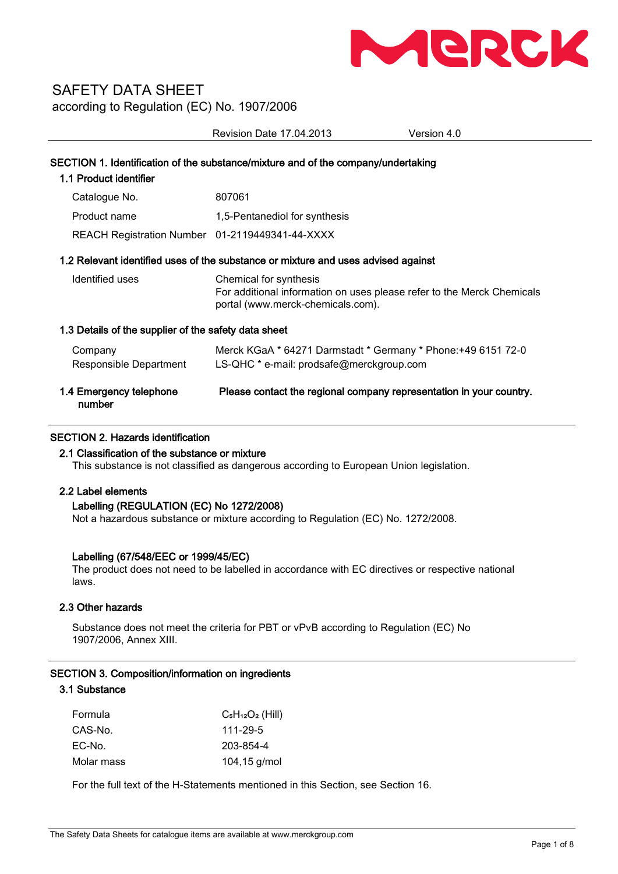

Revision Date 17.04.2013 Version 4.0 SECTION 1. Identification of the substance/mixture and of the company/undertaking 1.1 Product identifier Catalogue No. 807061 Product name 1,5-Pentanediol for synthesis REACH Registration Number 01-2119449341-44-XXXX 1.2 Relevant identified uses of the substance or mixture and uses advised against Identified uses Chemical for synthesis For additional information on uses please refer to the Merck Chemicals portal (www.merck-chemicals.com). 1.3 Details of the supplier of the safety data sheet Company Merck KGaA \* 64271 Darmstadt \* Germany \* Phone:+49 6151 72-0 Responsible Department LS-QHC \* e-mail: prodsafe@merckgroup.com

| number | 1.4 Emergency telephone | Please contact the regional company representation in your country. |
|--------|-------------------------|---------------------------------------------------------------------|
|--------|-------------------------|---------------------------------------------------------------------|

## SECTION 2. Hazards identification

### 2.1 Classification of the substance or mixture

This substance is not classified as dangerous according to European Union legislation.

## 2.2 Label elements

### Labelling (REGULATION (EC) No 1272/2008)

Not a hazardous substance or mixture according to Regulation (EC) No. 1272/2008.

### Labelling (67/548/EEC or 1999/45/EC)

The product does not need to be labelled in accordance with EC directives or respective national laws.

### 2.3 Other hazards

Substance does not meet the criteria for PBT or vPvB according to Regulation (EC) No 1907/2006, Annex XIII.

### SECTION 3. Composition/information on ingredients

# 3.1 Substance

| Formula    | $C_5H_{12}O_2$ (Hill) |
|------------|-----------------------|
| CAS-No.    | 111-29-5              |
| EC-No.     | 203-854-4             |
| Molar mass | $104, 15$ g/mol       |

For the full text of the H-Statements mentioned in this Section, see Section 16.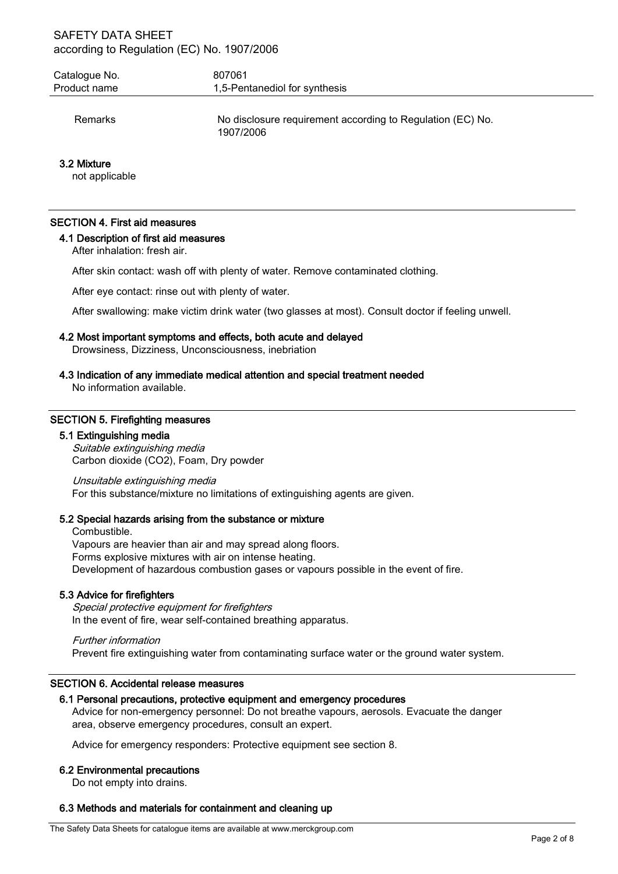| Catalogue No.<br>Product name | 807061<br>1,5-Pentanediol for synthesis                                 |
|-------------------------------|-------------------------------------------------------------------------|
| Remarks                       | No disclosure requirement according to Regulation (EC) No.<br>1907/2006 |
| 3.2 Mixture                   |                                                                         |

not applicable

## SECTION 4. First aid measures

### 4.1 Description of first aid measures

After inhalation: fresh air.

After skin contact: wash off with plenty of water. Remove contaminated clothing.

After eye contact: rinse out with plenty of water.

After swallowing: make victim drink water (two glasses at most). Consult doctor if feeling unwell.

### 4.2 Most important symptoms and effects, both acute and delayed

Drowsiness, Dizziness, Unconsciousness, inebriation

### 4.3 Indication of any immediate medical attention and special treatment needed

No information available.

### SECTION 5. Firefighting measures

#### 5.1 Extinguishing media

Suitable extinguishing media Carbon dioxide (CO2), Foam, Dry powder

Unsuitable extinguishing media For this substance/mixture no limitations of extinguishing agents are given.

### 5.2 Special hazards arising from the substance or mixture

Combustible. Vapours are heavier than air and may spread along floors. Forms explosive mixtures with air on intense heating. Development of hazardous combustion gases or vapours possible in the event of fire.

### 5.3 Advice for firefighters

Special protective equipment for firefighters In the event of fire, wear self-contained breathing apparatus.

Further information Prevent fire extinguishing water from contaminating surface water or the ground water system.

## SECTION 6. Accidental release measures

### 6.1 Personal precautions, protective equipment and emergency procedures

Advice for non-emergency personnel: Do not breathe vapours, aerosols. Evacuate the danger area, observe emergency procedures, consult an expert.

Advice for emergency responders: Protective equipment see section 8.

#### 6.2 Environmental precautions

Do not empty into drains.

#### 6.3 Methods and materials for containment and cleaning up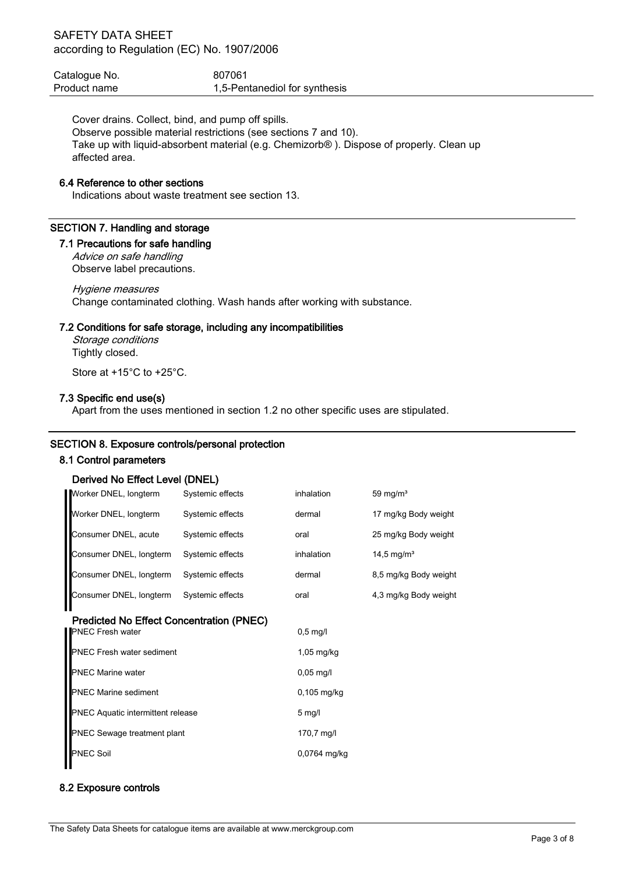| Catalogue No. | 807061                        |
|---------------|-------------------------------|
| Product name  | 1,5-Pentanediol for synthesis |

Cover drains. Collect, bind, and pump off spills. Observe possible material restrictions (see sections 7 and 10). Take up with liquid-absorbent material (e.g. Chemizorb® ). Dispose of properly. Clean up affected area.

### 6.4 Reference to other sections

Indications about waste treatment see section 13.

### SECTION 7. Handling and storage

### 7.1 Precautions for safe handling

Advice on safe handling Observe label precautions.

### Hygiene measures

Change contaminated clothing. Wash hands after working with substance.

### 7.2 Conditions for safe storage, including any incompatibilities

Storage conditions Tightly closed.

Store at +15°C to +25°C.

### 7.3 Specific end use(s)

Apart from the uses mentioned in section 1.2 no other specific uses are stipulated.

### SECTION 8. Exposure controls/personal protection

### 8.1 Control parameters

### Derived No Effect Level (DNEL)

| Worker DNEL, longterm                           | Systemic effects | inhalation          | 59 mg/ $m3$            |
|-------------------------------------------------|------------------|---------------------|------------------------|
| Worker DNEL, longterm                           | Systemic effects | dermal              | 17 mg/kg Body weight   |
| Consumer DNEL, acute                            | Systemic effects | oral                | 25 mg/kg Body weight   |
| Consumer DNEL, longterm                         | Systemic effects | inhalation          | 14,5 mg/m <sup>3</sup> |
| Consumer DNEL, longterm                         | Systemic effects | dermal              | 8,5 mg/kg Body weight  |
| Consumer DNEL, longterm                         | Systemic effects | oral                | 4,3 mg/kg Body weight  |
| <b>Predicted No Effect Concentration (PNEC)</b> |                  |                     |                        |
| <b>PNEC Fresh water</b>                         |                  | $0,5$ mg/l          |                        |
| <b>PNEC Fresh water sediment</b>                |                  | $1,05$ mg/kg        |                        |
| <b>PNEC Marine water</b>                        |                  | $0,05 \text{ mg/l}$ |                        |
| <b>PNEC Marine sediment</b>                     |                  | $0,105$ mg/kg       |                        |
| <b>PNEC Aquatic intermittent release</b>        |                  | $5 \text{ mg/l}$    |                        |
| <b>PNEC Sewage treatment plant</b>              |                  | 170,7 mg/l          |                        |
| <b>PNEC Soil</b>                                |                  | 0,0764 mg/kg        |                        |
|                                                 |                  |                     |                        |

### 8.2 Exposure controls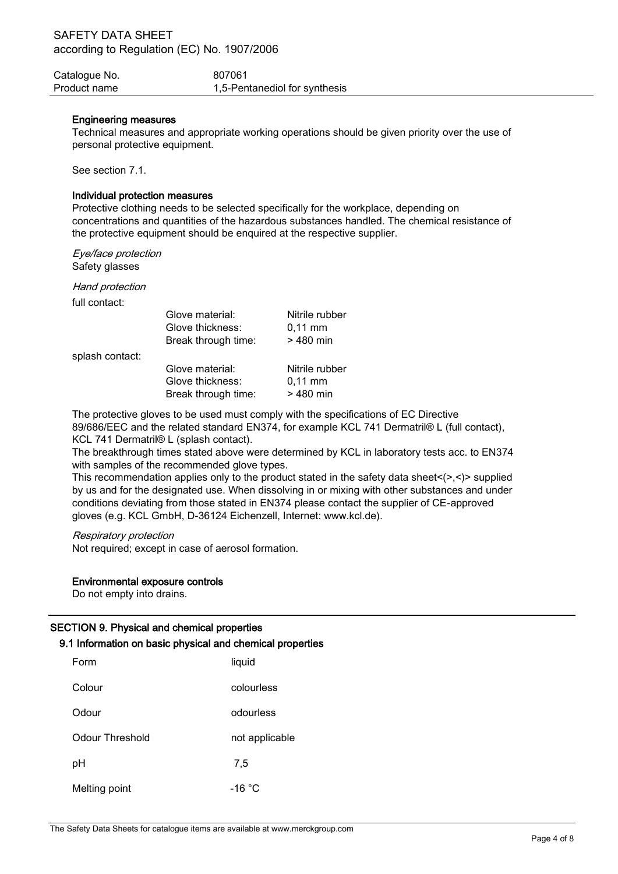| Catalogue No. | 807061                        |
|---------------|-------------------------------|
| Product name  | 1,5-Pentanediol for synthesis |

## Engineering measures

Technical measures and appropriate working operations should be given priority over the use of personal protective equipment.

See section 7.1.

## Individual protection measures

Protective clothing needs to be selected specifically for the workplace, depending on concentrations and quantities of the hazardous substances handled. The chemical resistance of the protective equipment should be enquired at the respective supplier.

Eye/face protection Safety glasses

Hand protection

full contact:

|                 | Glove material:                                            | Nitrile rubber |
|-----------------|------------------------------------------------------------|----------------|
|                 | Glove thickness:                                           | $0,11$ mm      |
|                 | Break through time:                                        | > 480 min      |
| splash contact: |                                                            |                |
|                 | Glove material:                                            | Nitrile rubber |
|                 | Glove thickness:                                           | $0,11$ mm      |
|                 | Break through time:                                        | > 480 min      |
|                 | The protective aloves to be used must comply with the enec |                |

The protective gloves to be used must comply with the specifications of EC Directive 89/686/EEC and the related standard EN374, for example KCL 741 Dermatril® L (full contact), KCL 741 Dermatril® L (splash contact).

The breakthrough times stated above were determined by KCL in laboratory tests acc. to EN374 with samples of the recommended glove types.

This recommendation applies only to the product stated in the safety data sheet $\langle \rangle$ , $\langle \rangle$  supplied by us and for the designated use. When dissolving in or mixing with other substances and under conditions deviating from those stated in EN374 please contact the supplier of CE-approved gloves (e.g. KCL GmbH, D-36124 Eichenzell, Internet: www.kcl.de).

## Respiratory protection

Not required; except in case of aerosol formation.

## Environmental exposure controls

Do not empty into drains.

## SECTION 9. Physical and chemical properties

# 9.1 Information on basic physical and chemical properties

| Form            | liquid         |
|-----------------|----------------|
| Colour          | colourless     |
| Odour           | odourless      |
| Odour Threshold | not applicable |
| pH              | 7,5            |
| Melting point   | -16 °C         |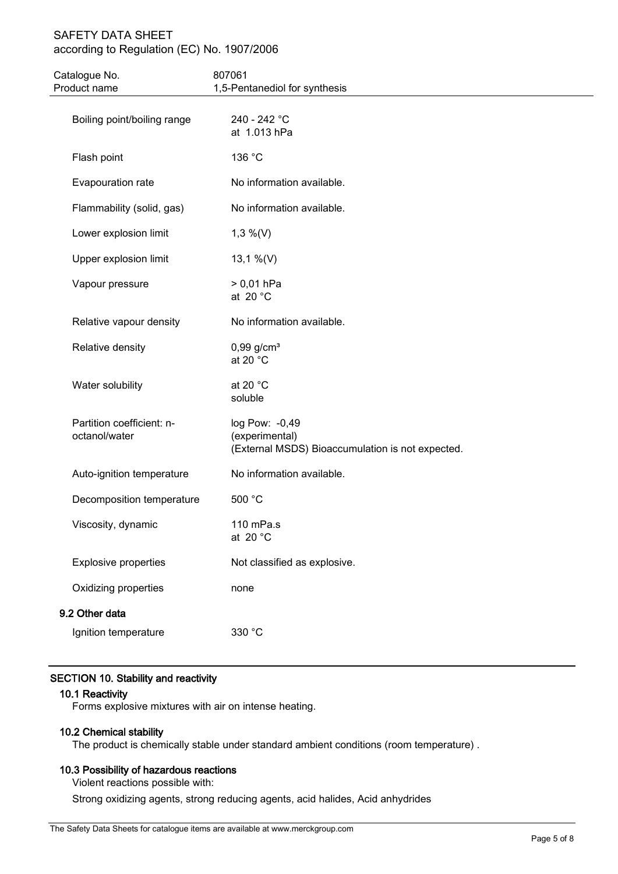| Catalogue No.<br>Product name              | 807061<br>1,5-Pentanediol for synthesis                                              |
|--------------------------------------------|--------------------------------------------------------------------------------------|
|                                            |                                                                                      |
| Boiling point/boiling range                | 240 - 242 °C<br>at 1.013 hPa                                                         |
| Flash point                                | 136 °C                                                                               |
| Evapouration rate                          | No information available.                                                            |
| Flammability (solid, gas)                  | No information available.                                                            |
| Lower explosion limit                      | $1,3\%$ (V)                                                                          |
| Upper explosion limit                      | 13,1 %(V)                                                                            |
| Vapour pressure                            | $> 0,01$ hPa<br>at 20 $^{\circ}$ C                                                   |
| Relative vapour density                    | No information available.                                                            |
| Relative density                           | $0,99$ g/cm <sup>3</sup><br>at 20 $^{\circ}$ C                                       |
| Water solubility                           | at 20 $^{\circ}$ C<br>soluble                                                        |
| Partition coefficient: n-<br>octanol/water | log Pow: -0,49<br>(experimental)<br>(External MSDS) Bioaccumulation is not expected. |
| Auto-ignition temperature                  | No information available.                                                            |
| Decomposition temperature                  | 500 °C                                                                               |
| Viscosity, dynamic                         | 110 mPa.s<br>at 20 $^{\circ}$ C                                                      |
| <b>Explosive properties</b>                | Not classified as explosive.                                                         |
| Oxidizing properties                       | none                                                                                 |
| 9.2 Other data                             |                                                                                      |
| Ignition temperature                       | 330 °C                                                                               |

# SECTION 10. Stability and reactivity

## 10.1 Reactivity

Forms explosive mixtures with air on intense heating.

## 10.2 Chemical stability

The product is chemically stable under standard ambient conditions (room temperature) .

# 10.3 Possibility of hazardous reactions

Violent reactions possible with:

Strong oxidizing agents, strong reducing agents, acid halides, Acid anhydrides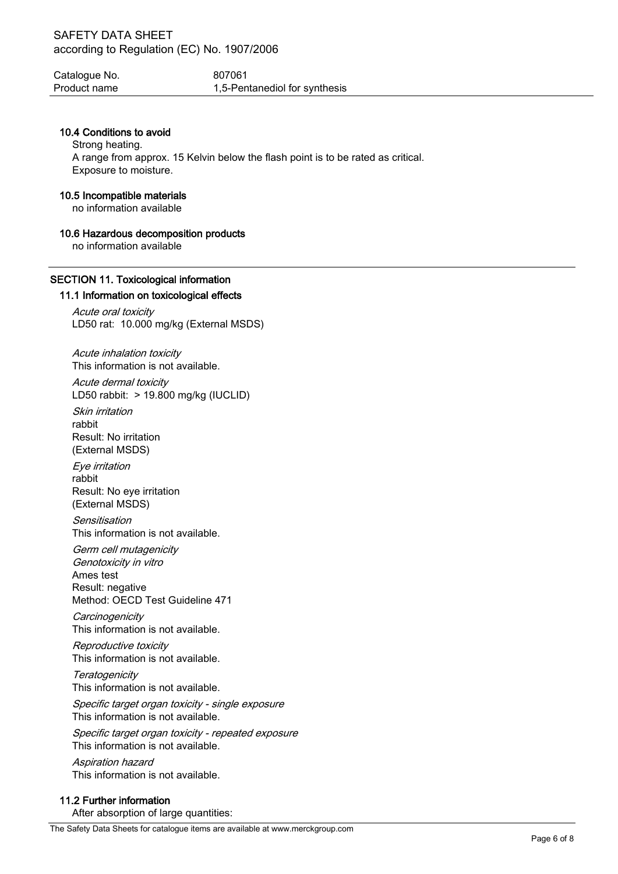Catalogue No. 607061 Product name 1,5-Pentanediol for synthesis

## 10.4 Conditions to avoid

Strong heating. A range from approx. 15 Kelvin below the flash point is to be rated as critical. Exposure to moisture.

### 10.5 Incompatible materials

no information available

## 10.6 Hazardous decomposition products

no information available

# SECTION 11. Toxicological information

## 11.1 Information on toxicological effects

Acute oral toxicity LD50 rat: 10.000 mg/kg (External MSDS)

Acute inhalation toxicity This information is not available.

Acute dermal toxicity LD50 rabbit: > 19.800 mg/kg (IUCLID) Skin irritation rabbit

Result: No irritation (External MSDS)

Eye irritation rabbit Result: No eye irritation (External MSDS)

Sensitisation This information is not available.

Germ cell mutagenicity Genotoxicity in vitro Ames test Result: negative Method: OECD Test Guideline 471

**Carcinogenicity** This information is not available.

Reproductive toxicity This information is not available.

**Teratogenicity** This information is not available.

Specific target organ toxicity - single exposure This information is not available.

Specific target organ toxicity - repeated exposure This information is not available.

Aspiration hazard This information is not available.

## 11.2 Further information

After absorption of large quantities: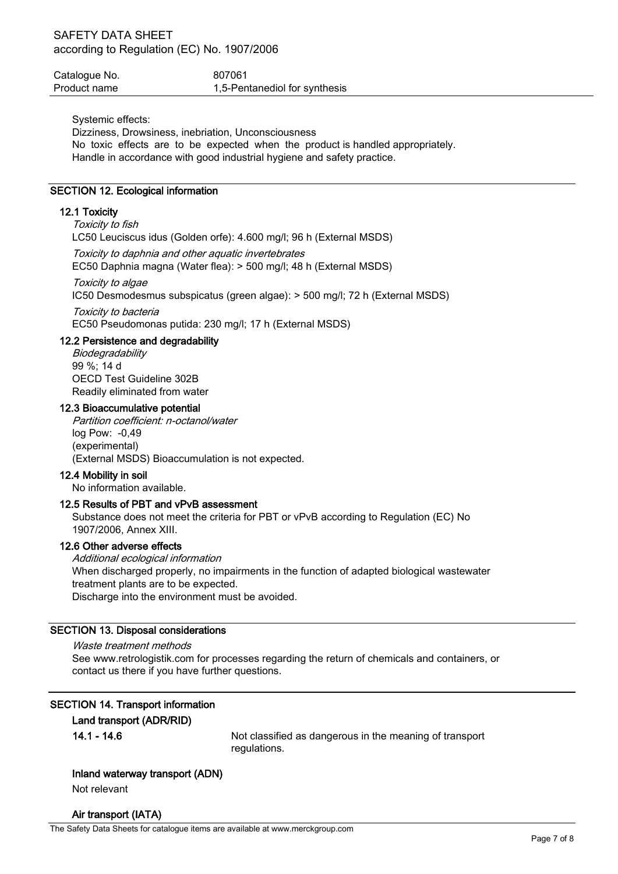| Catalogue No. | 807061                        |
|---------------|-------------------------------|
| Product name  | 1,5-Pentanediol for synthesis |

Systemic effects:

Dizziness, Drowsiness, inebriation, Unconsciousness No toxic effects are to be expected when the product is handled appropriately.

Handle in accordance with good industrial hygiene and safety practice.

## SECTION 12. Ecological information

## 12.1 Toxicity

Toxicity to fish LC50 Leuciscus idus (Golden orfe): 4.600 mg/l; 96 h (External MSDS)

Toxicity to daphnia and other aquatic invertebrates

EC50 Daphnia magna (Water flea): > 500 mg/l; 48 h (External MSDS)

Toxicity to algae

IC50 Desmodesmus subspicatus (green algae): > 500 mg/l; 72 h (External MSDS)

Toxicity to bacteria EC50 Pseudomonas putida: 230 mg/l; 17 h (External MSDS)

## 12.2 Persistence and degradability

**Biodegradability** 99 %; 14 d OECD Test Guideline 302B Readily eliminated from water

## 12.3 Bioaccumulative potential

Partition coefficient: n-octanol/water log Pow: -0,49 (experimental) (External MSDS) Bioaccumulation is not expected.

## 12.4 Mobility in soil

No information available.

## 12.5 Results of PBT and vPvB assessment

Substance does not meet the criteria for PBT or vPvB according to Regulation (EC) No 1907/2006, Annex XIII.

### 12.6 Other adverse effects

Additional ecological information When discharged properly, no impairments in the function of adapted biological wastewater treatment plants are to be expected. Discharge into the environment must be avoided.

## SECTION 13. Disposal considerations

Waste treatment methods See www.retrologistik.com for processes regarding the return of chemicals and containers, or contact us there if you have further questions.

## SECTION 14. Transport information

# Land transport (ADR/RID)

14.1 - 14.6 Not classified as dangerous in the meaning of transport regulations.

### Inland waterway transport (ADN)

Not relevant

## Air transport (IATA)